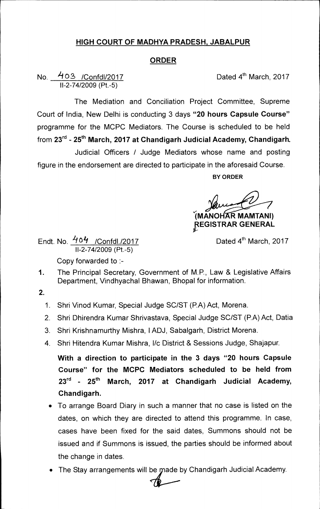## **HIGH COURT OF MADHYA PRADESH, JABALPUR**

## **ORDER**

## **ORDER**<br>
No. 403 /Confdl/2017<br>
II-2-74/2009 (Pt.-5)

The Mediation and Conciliation Project Committee, Supreme Court of India, New Delhi is conducting 3 days **"20 hours Capsule Course"**  programme for the MCPC Mediators. The Course is scheduled to be held from 23<sup>rd</sup> - 25<sup>th</sup> March, 2017 at Chandigarh Judicial Academy, Chandigarh. Judicial Officers / Judge Mediators whose name and posting

figure in the endorsement are directed to participate in the aforesaid Course.

**BY ORDER** 

**1MANOH R MAMTANI)** 

pEGISTRAR **GENERAL** 

Endt. No. 404 / Confdl./2017 11-2-74/2009 (Pt.-5) Copy forwarded to :-

Dated 4<sup>th</sup> March, 2017

- 1. The Principal Secretary, Government of M.P., Law & Legislative Affairs Department, Vindhyachal Bhawan, Bhopal for information.
- **2.** 
	- 1. Shri Vinod Kumar, Special Judge SC/ST (P.A) Act, Morena.
	- 2. Shri Dhirendra Kumar Shrivastava, Special Judge SC/ST (P.A) Act, Datia
	- 3. Shri Krishnamurthy Mishra, 1ADJ, Sabalgarh, District Morena.
	- 4. Shri Hitendra Kumar Mishra, l/c District & Sessions Judge, Shajapur.

**With a direction to participate in the 3 days "20 hours Capsule Course" for the MCPC Mediators scheduled to be held from 23rd 25th March, 2017 at Chandigarh Judicial Academy, Chandigarh.** 

- To arrange Board Diary in such a manner that no case is listed on the dates, on which they are directed to attend this programme. In case, cases have been fixed for the said dates, Summons should not be issued and if Summons is issued, the parties should be informed about the change in dates.
- The Stay arrangements will be made by Chandigarh Judicial Academy.